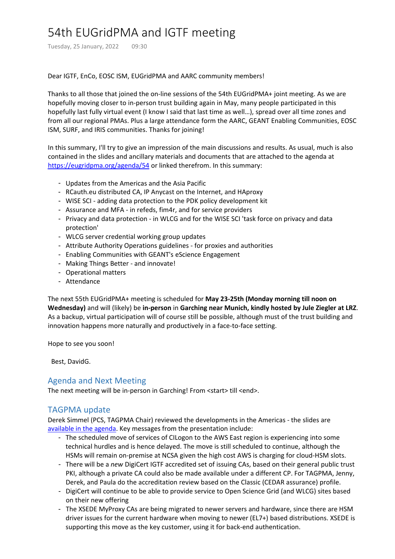# 54th EUGridPMA and IGTF meeting

Tuesday, 25 January, 2022 09:30

#### Dear IGTF, EnCo, EOSC ISM, EUGridPMA and AARC community members!

Thanks to all those that joined the on‐line sessions of the 54th EUGridPMA+ joint meeting. As we are hopefully moving closer to in-person trust building again in May, many people participated in this hopefully last fully virtual event (I know I said that last time as well…), spread over all time zones and from all our regional PMAs. Plus a large attendance form the AARC, GEANT Enabling Communities, EOSC ISM, SURF, and IRIS communities. Thanks for joining!

In this summary, I'll try to give an impression of the main discussions and results. As usual, much is also contained in the slides and ancillary materials and documents that are attached to the agenda at https://eugridpma.org/agenda/54 or linked therefrom. In this summary:

- Updates from the Americas and the Asia Pacific
- RCauth.eu distributed CA, IP Anycast on the Internet, and HAproxy
- WISE SCI ‐ adding data protection to the PDK policy development kit
- Assurance and MFA ‐ in refeds, fim4r, and for service providers
- Privacy and data protection in WLCG and for the WISE SCI 'task force on privacy and data protection'
- WLCG server credential working group updates
- Attribute Authority Operations guidelines ‐ for proxies and authorities
- Enabling Communities with GEANT's eScience Engagement
- Making Things Better ‐ and innovate!
- Operational matters
- Attendance

The next 55th EUGridPMA+ meeting is scheduled for **May 23‐25th (Monday morning till noon on Wednesday)** and will (likely) be **in‐person** in **Garching near Munich, kindly hosted by Jule Ziegler at LRZ**. As a backup, virtual participation will of course still be possible, although must of the trust building and innovation happens more naturally and productively in a face-to-face setting.

Hope to see you soon!

Best, DavidG.

## Agenda and Next Meeting

The next meeting will be in-person in Garching! From <start> till <end>.

## TAGPMA update

Derek Simmel (PCS, TAGPMA Chair) reviewed the developments in the Americas ‐ the slides are available in the agenda. Key messages from the presentation include:

- The scheduled move of services of CILogon to the AWS East region is experiencing into some technical hurdles and is hence delayed. The move is still scheduled to continue, although the HSMs will remain on‐premise at NCSA given the high cost AWS is charging for cloud‐HSM slots.
- There will be a new DigiCert IGTF accredited set of issuing CAs, based on their general public trust PKI, although a private CA could also be made available under a different CP. For TAGPMA, Jenny, Derek, and Paula do the accreditation review based on the Classic (CEDAR assurance) profile.
- DigiCert will continue to be able to provide service to Open Science Grid (and WLCG) sites based on their new offering
- The XSEDE MyProxy CAs are being migrated to newer servers and hardware, since there are HSM driver issues for the current hardware when moving to newer (EL7+) based distributions. XSEDE is supporting this move as the key customer, using it for back-end authentication.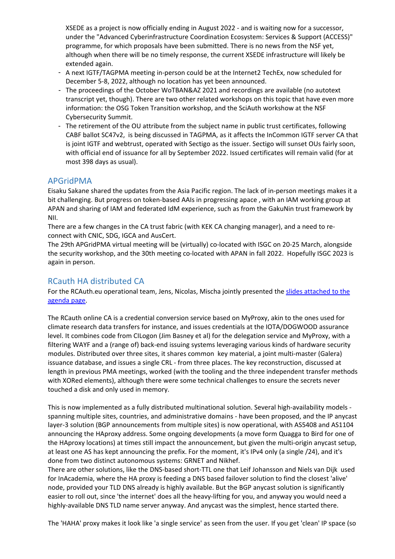XSEDE as a project is now officially ending in August 2022 ‐ and is waiting now for a successor, under the "Advanced Cyberinfrastructure Coordination Ecosystem: Services & Support (ACCESS)" programme, for which proposals have been submitted. There is no news from the NSF yet, although when there will be no timely response, the current XSEDE infrastructure will likely be extended again.

- A next IGTF/TAGPMA meeting in-person could be at the Internet2 TechEx, now scheduled for December 5‐8, 2022, although no location has yet been announced.
- The proceedings of the October WoTBAN&AZ 2021 and recordings are available (no autotext transcript yet, though). There are two other related workshops on this topic that have even more information: the OSG Token Transition workshop, and the SciAuth workshow at the NSF Cybersecurity Summit.
- The retirement of the OU attribute from the subject name in public trust certificates, following CABF ballot SC47v2, is being discussed in TAGPMA, as it affects the InCommon IGTF server CA that is joint IGTF and webtrust, operated with Sectigo as the issuer. Sectigo will sunset OUs fairly soon, with official end of issuance for all by September 2022. Issued certificates will remain valid (for at most 398 days as usual).

## APGridPMA

Eisaku Sakane shared the updates from the Asia Pacific region. The lack of in‐person meetings makes it a bit challenging. But progress on token‐based AAIs in progressing apace , with an IAM working group at APAN and sharing of IAM and federated IdM experience, such as from the GakuNin trust framework by NII.

There are a few changes in the CA trust fabric (with KEK CA changing manager), and a need to re‐ connect with CNIC, SDG, IGCA and AusCert.

The 29th APGridPMA virtual meeting will be (virtually) co-located with ISGC on 20-25 March, alongside the security workshop, and the 30th meeting co-located with APAN in fall 2022. Hopefully ISGC 2023 is again in person.

## RCauth HA distributed CA

For the RCAuth.eu operational team, Jens, Nicolas, Mischa jointly presented the slides attached to the agenda page.

The RCauth online CA is a credential conversion service based on MyProxy, akin to the ones used for climate research data transfers for instance, and issues credentials at the IOTA/DOGWOOD assurance level. It combines code from CILogon (Jim Basney et al) for the delegation service and MyProxy, with a filtering WAYF and a (range of) back‐end issuing systems leveraging various kinds of hardware security modules. Distributed over three sites, it shares common key material, a joint multi-master (Galera) issuance database, and issues a single CRL ‐ from three places. The key reconstruction, discussed at length in previous PMA meetings, worked (with the tooling and the three independent transfer methods with XORed elements), although there were some technical challenges to ensure the secrets never touched a disk and only used in memory.

This is now implemented as a fully distributed multinational solution. Several high-availability models spanning multiple sites, countries, and administrative domains ‐ have been proposed, and the IP anycast layer-3 solution (BGP announcements from multiple sites) is now operational, with AS5408 and AS1104 announcing the HAproxy address. Some ongoing developments (a move form Quagga to Bird for one of the HAproxy locations) at times still impact the announcement, but given the multi‐origin anycast setup, at least one AS has kept announcing the prefix. For the moment, it's IPv4 only (a single /24), and it's done from two distinct autonomous systems: GRNET and Nikhef.

There are other solutions, like the DNS‐based short‐TTL one that Leif Johansson and Niels van Dijk used for InAcademia, where the HA proxy is feeding a DNS based failover solution to find the closest 'alive' node, provided your TLD DNS already is highly available. But the BGP anycast solution is significantly easier to roll out, since 'the internet' does all the heavy-lifting for you, and anyway you would need a highly-available DNS TLD name server anyway. And anycast was the simplest, hence started there.

The 'HAHA' proxy makes it look like 'a single service' as seen from the user. If you get 'clean' IP space (so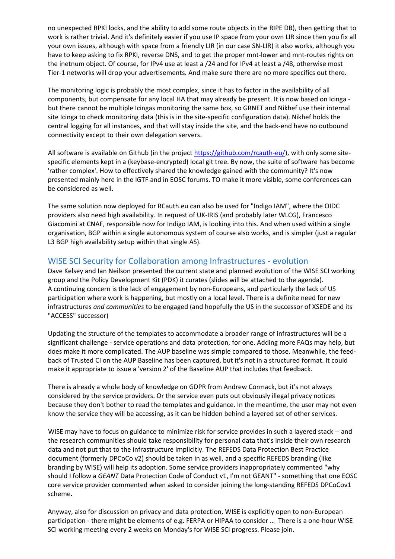no unexpected RPKI locks, and the ability to add some route objects in the RIPE DB), then getting that to work is rather trivial. And it's definitely easier if you use IP space from your own LIR since then you fix all your own issues, although with space from a friendly LIR (in our case SN‐LIR) it also works, although you have to keep asking to fix RPKI, reverse DNS, and to get the proper mnt-lower and mnt-routes rights on the inetnum object. Of course, for IPv4 use at least a /24 and for IPv4 at least a /48, otherwise most Tier-1 networks will drop your advertisements. And make sure there are no more specifics out there.

The monitoring logic is probably the most complex, since it has to factor in the availability of all components, but compensate for any local HA that may already be present. It is now based on Icinga ‐ but there cannot be multiple Icingas monitoring the same box, so GRNET and Nikhef use their internal site Icinga to check monitoring data (this is in the site‐specific configuration data). Nikhef holds the central logging for all instances, and that will stay inside the site, and the back-end have no outbound connectivity except to their own delegation servers.

All software is available on Github (in the project https://github.com/rcauth-eu/), with only some sitespecific elements kept in a (keybase-encrypted) local git tree. By now, the suite of software has become 'rather complex'. How to effectively shared the knowledge gained with the community? It's now presented mainly here in the IGTF and in EOSC forums. TO make it more visible, some conferences can be considered as well.

The same solution now deployed for RCauth.eu can also be used for "Indigo IAM", where the OIDC providers also need high availability. In request of UK‐IRIS (and probably later WLCG), Francesco Giacomini at CNAF, responsible now for Indigo IAM, is looking into this. And when used within a single organisation, BGP within a single autonomous system of course also works, and is simpler (just a regular L3 BGP high availability setup within that single AS).

# WISE SCI Security for Collaboration among Infrastructures ‐ evolution

Dave Kelsey and Ian Neilson presented the current state and planned evolution of the WISE SCI working group and the Policy Development Kit (PDK) it curates (slides will be attached to the agenda). A continuing concern is the lack of engagement by non‐Europeans, and particularly the lack of US participation where work is happening, but mostly on a local level. There is a definite need for new infrastructures *and communities* to be engaged (and hopefully the US in the successor of XSEDE and its "ACCESS" successor)

Updating the structure of the templates to accommodate a broader range of infrastructures will be a significant challenge ‐ service operations and data protection, for one. Adding more FAQs may help, but does make it more complicated. The AUP baseline was simple compared to those. Meanwhile, the feed‐ back of Trusted CI on the AUP Baseline has been captured, but it's not in a structured format. It could make it appropriate to issue a 'version 2' of the Baseline AUP that includes that feedback.

There is already a whole body of knowledge on GDPR from Andrew Cormack, but it's not always considered by the service providers. Or the service even puts out obviously illegal privacy notices because they don't bother to read the templates and guidance. In the meantime, the user may not even know the service they will be accessing, as it can be hidden behind a layered set of other services.

WISE may have to focus on guidance to minimize risk for service provides in such a layered stack ‐‐ and the research communities should take responsibility for personal data that's inside their own research data and not put that to the infrastructure implicitly. The REFEDS Data Protection Best Practice document (formerly DPCoCo v2) should be taken in as well, and a specific REFEDS branding (like branding by WISE) will help its adoption. Some service providers inappropriately commented "why should I follow a *GEANT* Data Protection Code of Conduct v1, I'm not GEANT" - something that one EOSC core service provider commented when asked to consider joining the long-standing REFEDS DPCoCov1 scheme.

Anyway, also for discussion on privacy and data protection, WISE is explicitly open to non‐European participation - there might be elements of e.g. FERPA or HIPAA to consider ... There is a one-hour WISE SCI working meeting every 2 weeks on Monday's for WISE SCI progress. Please join.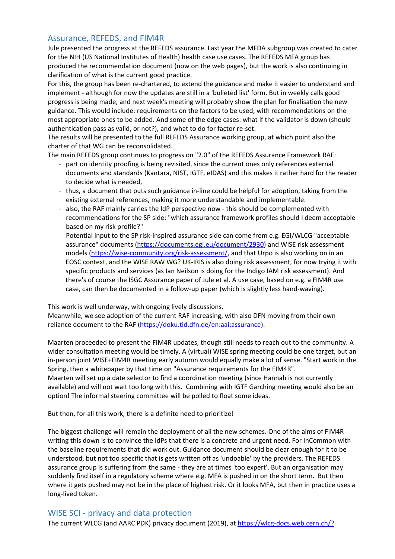#### Assurance, REFEDS, and FIM4R

Jule presented the progress at the REFEDS assurance. Last year the MFDA subgroup was created to cater for the NIH (US National Institutes of Health) health case use cases. The REFEDS MFA group has produced the recommendation document (now on the web pages), but the work is also continuing in clarification of what is the current good practice.

For this, the group has been re-chartered, to extend the guidance and make it easier to understand and implement - although for now the updates are still in a 'bulleted list' form. But in weekly calls good progress is being made, and next week's meeting will probably show the plan for finalisation the new guidance. This would include: requirements on the factors to be used, with recommendations on the most appropriate ones to be added. And some of the edge cases: what if the validator is down (should authentication pass as valid, or not?), and what to do for factor re‐set.

The results will be presented to the full REFEDS Assurance working group, at which point also the charter of that WG can be reconsolidated.

The main REFEDS group continues to progress on "2.0" of the REFEDS Assurance Framework RAF:

- part on identity proofing is being revisited, since the current ones only references external documents and standards (Kantara, NIST, IGTF, eIDAS) and this makes it rather hard for the reader to decide what is needed,
- thus, a document that puts such guidance in-line could be helpful for adoption, taking from the existing external references, making it more understandable and implementable.
- also, the RAF mainly carries the IdP perspective now this should be complemented with recommendations for the SP side: "which assurance framework profiles should I deem acceptable based on my risk profile?"

Potential input to the SP risk‐inspired assurance side can come from e.g. EGI/WLCG "acceptable assurance" documents (https://documents.egi.eu/document/2930) and WISE risk assessment models (https://wise-community.org/risk-assessment/, and that Urpo is also working on in an EOSC context, and the WISE RAW WG? UK‐IRIS is also doing risk assessment, for now trying it with specific products and services (as Ian Neilson is doing for the Indigo IAM risk assessment). And there's of course the ISGC Assurance paper of Jule et al. A use case, based on e.g. a FIM4R use case, can then be documented in a follow-up paper (which is slightly less hand-waving).

This work is well underway, with ongoing lively discussions.

Meanwhile, we see adoption of the current RAF increasing, with also DFN moving from their own reliance document to the RAF (https://doku.tid.dfn.de/en:aai:assurance).

Maarten proceeded to present the FIM4R updates, though still needs to reach out to the community. A wider consultation meeting would be timely. A (virtual) WISE spring meeting could be one target, but an in-person joint WISE+FIM4R meeting early autumn would equally make a lot of sense. "Start work in the Spring, then a whitepaper by that time on "Assurance requirements for the FIM4R".

Maarten will set up a date selector to find a coordination meeting (since Hannah is not currently available) and will not wait too long with this. Combining with IGTF Garching meeting would also be an option! The informal steering committee will be polled to float some ideas.

But then, for all this work, there is a definite need to prioritize!

The biggest challenge will remain the deployment of all the new schemes. One of the aims of FIM4R writing this down is to convince the IdPs that there is a concrete and urgent need. For InCommon with the baseline requirements that did work out. Guidance document should be clear enough for it to be understood, but not too specific that is gets written off as 'undoable' by the providers. The REFEDS assurance group is suffering from the same ‐ they are at times 'too expert'. But an organisation may suddenly find itself in a regulatory scheme where e.g. MFA is pushed in on the short term. But then where it gets pushed may not be in the place of highest risk. Or it looks MFA, but then in practice uses a long‐lived token.

#### WISE SCI ‐ privacy and data protection

The current WLCG (and AARC PDK) privacy document (2019), at https://wlcg-docs.web.cern.ch/?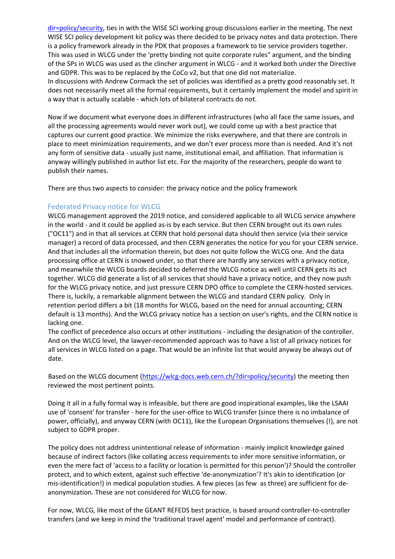dir=policy/security, ties in with the WISE SCI working group discussions earlier in the meeting. The next WISE SCI policy development kit policy was there decided to be privacy notes and data protection. There is a policy framework already in the PDK that proposes a framework to tie service providers together. This was used in WLCG under the 'pretty binding not quite corporate rules" argument, and the binding of the SPs in WLCG was used as the clincher argument in WLCG ‐ and it worked both under the Directive and GDPR. This was to be replaced by the CoCo v2, but that one did not materialize. In discussions with Andrew Cormack the set of policies was identified as a pretty good reasonably set. It does not necessarily meet all the formal requirements, but it certainly implement the model and spirit in a way that is actually scalable ‐ which lots of bilateral contracts do not.

Now if we document what everyone does in different infrastructures (who all face the same issues, and all the processing agreements would never work out), we could come up with a best practice that captures our current good practice. We minimize the risks everywhere, and that there are controls in place to meet minimization requirements, and we don't ever process more than is needed. And it's not any form of sensitive data ‐ usually just name, institutional email, and affiliation. That information is anyway willingly published in author list etc. For the majority of the researchers, people do want to publish their names.

There are thus two aspects to consider: the privacy notice and the policy framework

#### Federated Privacy notice for WLCG

WLCG management approved the 2019 notice, and considered applicable to all WLCG service anywhere in the world ‐ and it could be applied as‐is by each service. But then CERN brought out its own rules ("OC11") and in that all services at CERN that hold personal data should then service (via their service manager) a record of data processed, and then CERN generates the notice for you for your CERN service. And that includes all the information therein, but does not quite follow the WLCG one. And the data processing office at CERN is snowed under, so that there are hardly any services with a privacy notice, and meanwhile the WLCG boards decided to deferred the WLCG notice as well until CERN gets its act together. WLCG did generate a list of all services that should have a privacy notice, and they now push for the WLCG privacy notice, and just pressure CERN DPO office to complete the CERN-hosted services. There is, luckily, a remarkable alignment between the WLCG and standard CERN policy. Only in retention period differs a bit (18 months for WLCG, based on the need for annual accounting; CERN default is 13 months). And the WLCG privacy notice has a section on user's rights, and the CERN notice is lacking one.

The conflict of precedence also occurs at other institutions ‐ including the designation of the controller. And on the WLCG level, the lawyer-recommended approach was to have a list of all privacy notices for all services in WLCG listed on a page. That would be an infinite list that would anyway be always out of date.

Based on the WLCG document (https://wlcg-docs.web.cern.ch/?dir=policy/security) the meeting then reviewed the most pertinent points.

Doing it all in a fully formal way is infeasible, but there are good inspirational examples, like the LSAAI use of 'consent' for transfer - here for the user-office to WLCG transfer (since there is no imbalance of power, officially), and anyway CERN (with OC11), like the European Organisations themselves (!), are not subject to GDPR proper.

The policy does not address unintentional release of information ‐ mainly implicit knowledge gained because of indirect factors (like collating access requirements to infer more sensitive information, or even the mere fact of 'access to a facility or location is permitted for this person')? Should the controller protect, and to which extent, against such effective 'de‐anonymization'? It's akin to identification (or mis-identification!) in medical population studies. A few pieces (as few as three) are sufficient for deanonymization. These are not considered for WLCG for now.

For now, WLCG, like most of the GEANT REFEDS best practice, is based around controller‐to‐controller transfers (and we keep in mind the 'traditional travel agent' model and performance of contract).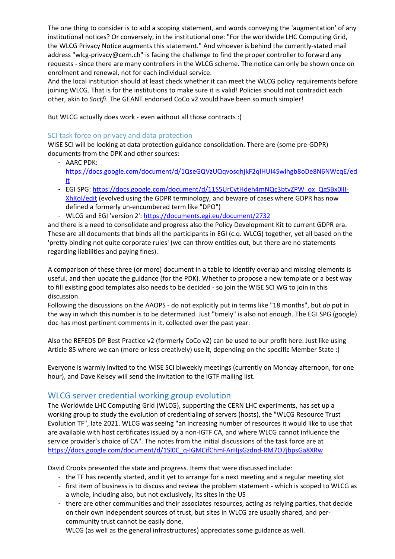The one thing to consider is to add a scoping statement, and words conveying the 'augmentation' of any institutional notices? Or conversely, in the institutional one: "For the worldwide LHC Computing Grid, the WLCG Privacy Notice augments this statement." And whoever is behind the currently‐stated mail address "wlcg-privacy@cern.ch" is facing the challenge to find the proper controller to forward any requests ‐ since there are many controllers in the WLCG scheme. The notice can only be shown once on enrolment and renewal, not for each individual service.

And the local institution should at least check whether it can meet the WLCG policy requirements before joining WLCG. That is for the institutions to make sure it is valid! Policies should not contradict each other, akin to *Snctfi*. The GEANT endorsed CoCo v2 would have been so much simpler!

But WLCG actually does work ‐ even without all those contracts :)

#### SCI task force on privacy and data protection

WISE SCI will be looking at data protection guidance consolidation. There are (some pre‐GDPR) documents from the DPK and other sources:

- AARC PDK: https://docs.google.com/document/d/1QseGQVzUQqvosqhjkF2qlHUI4Swlhgb8oDe8N6NWcqE/ed it
- EGI SPG: https://docs.google.com/document/d/11S5UrCytHdeh4mNQc3btvZPW\_ox\_QgSBx0lII-XhKoI/edit (evolved using the GDPR terminology, and beware of cases where GDPR has now defined a formerly un‐encumbered term like "DPO")
- WLCG and EGI 'version 2': https://documents.egi.eu/document/2732

and there is a need to consolidate and progress also the Policy Development Kit to current GDPR era. These are all documents that binds all the participants in EGI (c.q. WLCG) together, yet all based on the 'pretty binding not quite corporate rules' (we can throw entities out, but there are no statements regarding liabilities and paying fines).

A comparison of these three (or more) document in a table to identify overlap and missing elements is useful, and then update the guidance (for the PDK). Whether to propose a new template or a best way to fill existing good templates also needs to be decided ‐ so join the WISE SCI WG to join in this discussion.

Following the discussions on the AAOPS ‐ do not explicitly put in terms like "18 months", but *do* put in the way in which this number is to be determined. Just "timely" is also not enough. The EGI SPG (google) doc has most pertinent comments in it, collected over the past year.

Also the REFEDS DP Best Practice v2 (formerly CoCo v2) can be used to our profit here. Just like using Article 85 where we can (more or less creatively) use it, depending on the specific Member State :)

Everyone is warmly invited to the WISE SCI biweekly meetings (currently on Monday afternoon, for one hour), and Dave Kelsey will send the invitation to the IGTF mailing list.

# WLCG server credential working group evolution

The Worldwide LHC Computing Grid (WLCG), supporting the CERN LHC experiments, has set up a working group to study the evolution of credentialing of servers (hosts), the "WLCG Resource Trust Evolution TF", late 2021. WLCG was seeing "an increasing number of resources it would like to use that are available with host certificates issued by a non-IGTF CA, and where WLCG cannot influence the service provider's choice of CA". The notes from the initial discussions of the task force are at https://docs.google.com/document/d/1Sl0C\_q-lGMCifChmFArHjsGzdnd-RM7O7jbpsGa8XRw

David Crooks presented the state and progress. Items that were discussed include:

- the TF has recently started, and it yet to arrange for a next meeting and a regular meeting slot
- first item of business is to discuss and review the problem statement which is scoped to WLCG as a whole, including also, but not exclusively, its sites in the US
- there are other communities and their associates resources, acting as relying parties, that decide on their own independent sources of trust, but sites in WLCG are usually shared, and per‐ community trust cannot be easily done.

WLCG (as well as the general infrastructures) appreciates some guidance as well.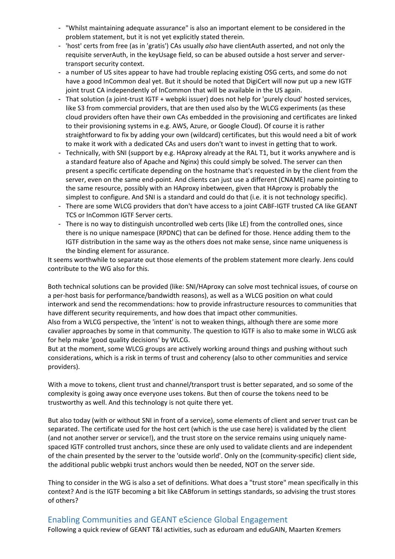- "Whilst maintaining adequate assurance" is also an important element to be considered in the problem statement, but it is not yet explicitly stated therein.
- 'host' certs from free (as in 'gratis') CAs usually also have clientAuth asserted, and not only the requisite serverAuth, in the keyUsage field, so can be abused outside a host server and server‐ transport security context.
- a number of US sites appear to have had trouble replacing existing OSG certs, and some do not have a good InCommon deal yet. But it should be noted that DigiCert will now put up a new IGTF joint trust CA independently of InCommon that will be available in the US again.
- That solution (a joint-trust IGTF + webpki issuer) does not help for 'purely cloud' hosted services, like S3 from commercial providers, that are then used also by the WLCG experiments (as these cloud providers often have their own CAs embedded in the provisioning and certificates are linked to their provisioning systems in e.g. AWS, Azure, or Google Cloud). Of course it is rather straightforward to fix by adding your own (wildcard) certificates, but this would need a bit of work to make it work with a dedicated CAs and users don't want to invest in getting that to work.
- Technically, with SNI (support by e.g. HAproxy already at the RAL T1, but it works anywhere and is a standard feature also of Apache and Nginx) this could simply be solved. The server can then present a specific certificate depending on the hostname that's requested in by the client from the server, even on the same end-point. And clients can just use a different (CNAME) name pointing to the same resource, possibly with an HAproxy inbetween, given that HAproxy is probably the simplest to configure. And SNI is a standard and could do that (i.e. it is not technology specific).
- There are some WLCG providers that don't have access to a joint CABF-IGTF trusted CA like GEANT TCS or InCommon IGTF Server certs.
- There is no way to distinguish uncontrolled web certs (like LE) from the controlled ones, since there is no unique namespace (RPDNC) that can be defined for those. Hence adding them to the IGTF distribution in the same way as the others does not make sense, since name uniqueness is the binding element for assurance.

It seems worthwhile to separate out those elements of the problem statement more clearly. Jens could contribute to the WG also for this.

Both technical solutions can be provided (like: SNI/HAproxy can solve most technical issues, of course on a per‐host basis for performance/bandwidth reasons), as well as a WLCG position on what could interwork and send the recommendations: how to provide infrastructure resources to communities that have different security requirements, and how does that impact other communities.

Also from a WLCG perspective, the 'intent' is not to weaken things, although there are some more cavalier approaches by some in that community. The question to IGTF is also to make some in WLCG ask for help make 'good quality decisions' by WLCG.

But at the moment, some WLCG groups are actively working around things and pushing without such considerations, which is a risk in terms of trust and coherency (also to other communities and service providers).

With a move to tokens, client trust and channel/transport trust is better separated, and so some of the complexity is going away once everyone uses tokens. But then of course the tokens need to be trustworthy as well. And this technology is not quite there yet.

But also today (with or without SNI in front of a service), some elements of client and server trust can be separated. The certificate used for the host cert (which is the use case here) is validated by the client (and not another server or service!), and the trust store on the service remains using uniquely name‐ spaced IGTF controlled trust anchors, since these are only used to validate clients and are independent of the chain presented by the server to the 'outside world'. Only on the (community‐specific) client side, the additional public webpki trust anchors would then be needed, NOT on the server side.

Thing to consider in the WG is also a set of definitions. What does a "trust store" mean specifically in this context? And is the IGTF becoming a bit like CABforum in settings standards, so advising the trust stores of others?

# Enabling Communities and GEANT eScience Global Engagement

Following a quick review of GEANT T&I activities, such as eduroam and eduGAIN, Maarten Kremers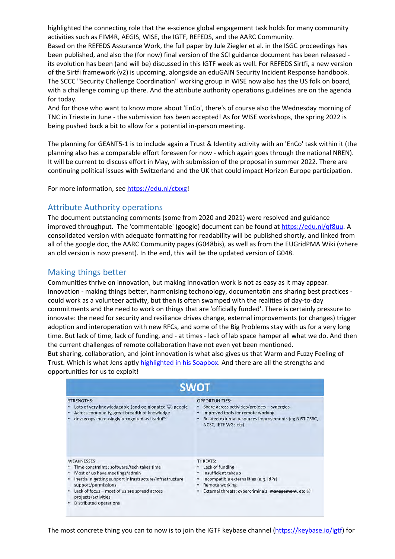highlighted the connecting role that the e-science global engagement task holds for many community activities such as FIM4R, AEGIS, WISE, the IGTF, REFEDS, and the AARC Community.

Based on the REFEDS Assurance Work, the full paper by Jule Ziegler et al. in the ISGC proceedings has been published, and also the (for now) final version of the SCI guidance document has been released ‐ its evolution has been (and will be) discussed in this IGTF week as well. For REFEDS Sirtfi, a new version of the Sirtfi framework (v2) is upcoming, alongside an eduGAIN Security Incident Response handbook. The SCCC "Security Challenge Coordination" working group in WISE now also has the US folk on board, with a challenge coming up there. And the attribute authority operations guidelines are on the agenda for today.

And for those who want to know more about 'EnCo', there's of course also the Wednesday morning of TNC in Trieste in June ‐ the submission has been accepted! As for WISE workshops, the spring 2022 is being pushed back a bit to allow for a potential in‐person meeting.

The planning for GEANT5‐1 is to include again a Trust & Identity activity with an 'EnCo' task within it (the planning also has a comparable effort foreseen for now ‐ which again goes through the national NREN). It will be current to discuss effort in May, with submission of the proposal in summer 2022. There are continuing political issues with Switzerland and the UK that could impact Horizon Europe participation.

For more information, see https://edu.nl/ctxxg!

#### Attribute Authority operations

The document outstanding comments (some from 2020 and 2021) were resolved and guidance improved throughput. The 'commentable' (google) document can be found at https://edu.nl/qf8uu. A consolidated version with adequate formatting for readability will be published shortly, and linked from all of the google doc, the AARC Community pages (G048bis), as well as from the EUGridPMA Wiki (where an old version is now present). In the end, this will be the updated version of G048.

## Making things better

Communities thrive on innovation, but making innovation work is not as easy as it may appear. Innovation ‐ making things better, harmonising techonology, documentatin ans sharing best practices ‐ could work as a volunteer activity, but then is often swamped with the realities of day‐to‐day commitments and the need to work on things that are 'officially funded'. There is certainly pressure to innovate: the need for security and resiliance drives change, external improvements (or changes) trigger adoption and interoperation with new RFCs, and some of the Big Problems stay with us for a very long time. But lack of time, lack of funding, and ‐ at times ‐ lack of lab space hamper all what we do. And then the current challenges of remote collaboration have not even yet been mentioned.

But sharing, collaboration, and joint innovation is what also gives us that Warm and Fuzzy Feeling of Trust. Which is what Jens aptly highlighted in his Soapbox. And there are all the strengths and opportunities for us to exploit!

| <b>SWOT</b>                                                                                                                                                                                                                                                                            |                                                                                                                                                                                                          |
|----------------------------------------------------------------------------------------------------------------------------------------------------------------------------------------------------------------------------------------------------------------------------------------|----------------------------------------------------------------------------------------------------------------------------------------------------------------------------------------------------------|
| <b>STRENGTHS:</b><br>Lots of very knowledgeable (and opinionated $\circledcirc$ ) people<br>Across community, great breadth of knowledge<br>devsecops increasingly recognized as Useful™                                                                                               | <b>OPPORTUNITIES:</b><br>Share across activities/projects - synergies<br>Improved tools for remote working<br>$\bullet$<br>Related external resources improvements (eg NIST CSRC,<br>NCSC, IETF WGs etc) |
| <b>WEAKNESSES:</b><br>Time constraints: software/tech takes time<br>Most of us have meetings/admin<br>Inertia in getting support infrastructure/infrastructure<br>support/permissions<br>Lack of focus - most of us are spread across<br>projects/activities<br>Distributed operations | THREATS:<br>Lack of funding<br>Insufficient takeup<br>Incompatible externalities (e.g. IdPs)<br>Remote working<br>External threats: cybercriminals, management, etc ©                                    |